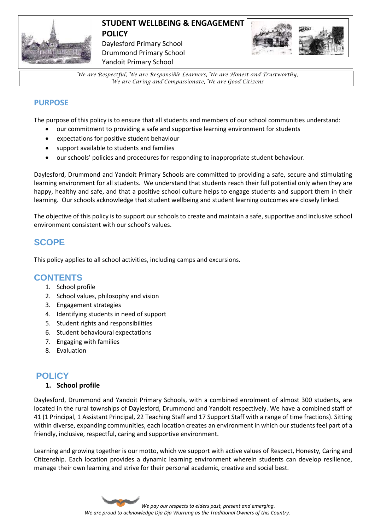

# **STUDENT WELLBEING & ENGAGEMENT POLICY**

Daylesford Primary School Drummond Primary School Yandoit Primary School



*We are Respectful, We are Responsible Learners, We are Honest and Trustworthy, We are Caring and Compassionate, We are Good Citizens*

## **PURPOSE**

The purpose of this policy is to ensure that all students and members of our school communities understand:

- our commitment to providing a safe and supportive learning environment for students
- expectations for positive student behaviour
- support available to students and families
- our schools' policies and procedures for responding to inappropriate student behaviour.

Daylesford, Drummond and Yandoit Primary Schools are committed to providing a safe, secure and stimulating learning environment for all students. We understand that students reach their full potential only when they are happy, healthy and safe, and that a positive school culture helps to engage students and support them in their learning. Our schools acknowledge that student wellbeing and student learning outcomes are closely linked.

The objective of this policy is to support our schools to create and maintain a safe, supportive and inclusive school environment consistent with our school's values.

## **SCOPE**

This policy applies to all school activities, including camps and excursions.

## **CONTENTS**

- 1. School profile
- 2. School values, philosophy and vision
- 3. Engagement strategies
- 4. Identifying students in need of support
- 5. Student rights and responsibilities
- 6. Student behavioural expectations
- 7. Engaging with families
- 8. Evaluation

## **POLICY**

## **1. School profile**

Daylesford, Drummond and Yandoit Primary Schools, with a combined enrolment of almost 300 students, are located in the rural townships of Daylesford, Drummond and Yandoit respectively. We have a combined staff of 41 (1 Principal, 1 Assistant Principal, 22 Teaching Staff and 17 Support Staff with a range of time fractions). Sitting within diverse, expanding communities, each location creates an environment in which our students feel part of a friendly, inclusive, respectful, caring and supportive environment.

Learning and growing together is our motto, which we support with active values of Respect, Honesty, Caring and Citizenship. Each location provides a dynamic learning environment wherein students can develop resilience, manage their own learning and strive for their personal academic, creative and social best.

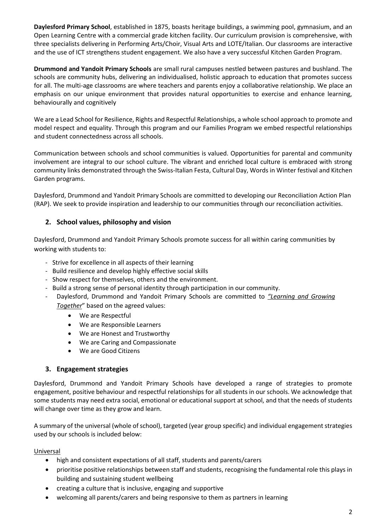**Daylesford Primary School**, established in 1875, boasts heritage buildings, a swimming pool, gymnasium, and an Open Learning Centre with a commercial grade kitchen facility. Our curriculum provision is comprehensive, with three specialists delivering in Performing Arts/Choir, Visual Arts and LOTE/Italian. Our classrooms are interactive and the use of ICT strengthens student engagement. We also have a very successful Kitchen Garden Program.

**Drummond and Yandoit Primary Schools** are small rural campuses nestled between pastures and bushland. The schools are community hubs, delivering an individualised, holistic approach to education that promotes success for all. The multi-age classrooms are where teachers and parents enjoy a collaborative relationship. We place an emphasis on our unique environment that provides natural opportunities to exercise and enhance learning, behaviourally and cognitively

We are a Lead School for Resilience, Rights and Respectful Relationships, a whole school approach to promote and model respect and equality. Through this program and our Families Program we embed respectful relationships and student connectedness across all schools.

Communication between schools and school communities is valued. Opportunities for parental and community involvement are integral to our school culture. The vibrant and enriched local culture is embraced with strong community links demonstrated through the Swiss-Italian Festa, Cultural Day, Words in Winter festival and Kitchen Garden programs.

Daylesford, Drummond and Yandoit Primary Schools are committed to developing our Reconciliation Action Plan (RAP). We seek to provide inspiration and leadership to our communities through our reconciliation activities.

## **2. School values, philosophy and vision**

Daylesford, Drummond and Yandoit Primary Schools promote success for all within caring communities by working with students to:

- Strive for excellence in all aspects of their learning
- Build resilience and develop highly effective social skills
- Show respect for themselves, others and the environment.
- Build a strong sense of personal identity through participation in our community.
- Daylesford, Drummond and Yandoit Primary Schools are committed to *"Learning and Growing Together*" based on the agreed values:
	- We are Respectful
	- We are Responsible Learners
	- We are Honest and Trustworthy
	- We are Caring and Compassionate
	- We are Good Citizens

#### **3. Engagement strategies**

Daylesford, Drummond and Yandoit Primary Schools have developed a range of strategies to promote engagement, positive behaviour and respectful relationships for all students in our schools. We acknowledge that some students may need extra social, emotional or educational support at school, and that the needs of students will change over time as they grow and learn.

A summary of the universal (whole of school), targeted (year group specific) and individual engagement strategies used by our schools is included below:

#### Universal

- high and consistent expectations of all staff, students and parents/carers
- prioritise positive relationships between staff and students, recognising the fundamental role this plays in building and sustaining student wellbeing
- creating a culture that is inclusive, engaging and supportive
- welcoming all parents/carers and being responsive to them as partners in learning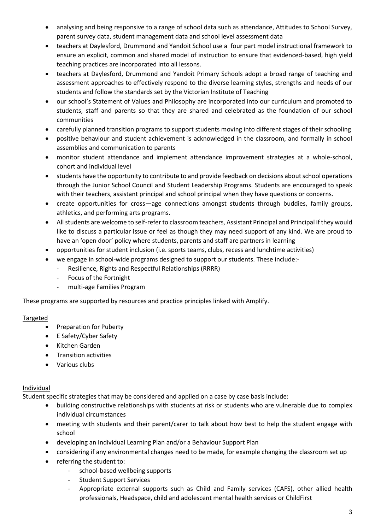- analysing and being responsive to a range of school data such as attendance, Attitudes to School Survey, parent survey data, student management data and school level assessment data
- teachers at Daylesford, Drummond and Yandoit School use a four part model instructional framework to ensure an explicit, common and shared model of instruction to ensure that evidenced-based, high yield teaching practices are incorporated into all lessons.
- teachers at Daylesford, Drummond and Yandoit Primary Schools adopt a broad range of teaching and assessment approaches to effectively respond to the diverse learning styles, strengths and needs of our students and follow the standards set by the Victorian Institute of Teaching
- our school's Statement of Values and Philosophy are incorporated into our curriculum and promoted to students, staff and parents so that they are shared and celebrated as the foundation of our school communities
- carefully planned transition programs to support students moving into different stages of their schooling
- positive behaviour and student achievement is acknowledged in the classroom, and formally in school assemblies and communication to parents
- monitor student attendance and implement attendance improvement strategies at a whole-school, cohort and individual level
- students have the opportunity to contribute to and provide feedback on decisions about school operations through the Junior School Council and Student Leadership Programs. Students are encouraged to speak with their teachers, assistant principal and school principal when they have questions or concerns.
- create opportunities for cross—age connections amongst students through buddies, family groups, athletics, and performing arts programs.
- All students are welcome to self-refer to classroom teachers, Assistant Principal and Principal if they would like to discuss a particular issue or feel as though they may need support of any kind. We are proud to have an 'open door' policy where students, parents and staff are partners in learning
- opportunities for student inclusion (i.e. sports teams, clubs, recess and lunchtime activities)
- we engage in school-wide programs designed to support our students. These include:-
	- Resilience, Rights and Respectful Relationships (RRRR)
	- Focus of the Fortnight
	- multi-age Families Program

These programs are supported by resources and practice principles linked with Amplify.

#### Targeted

- Preparation for Puberty
- E Safety/Cyber Safety
- Kitchen Garden
- **•** Transition activities
- Various clubs

#### Individual

Student specific strategies that may be considered and applied on a case by case basis include:

- building constructive relationships with students at risk or students who are vulnerable due to complex individual circumstances
- meeting with students and their parent/carer to talk about how best to help the student engage with school
- developing an Individual Learning Plan and/or a Behaviour Support Plan
- considering if any environmental changes need to be made, for example changing the classroom set up
- referring the student to:
	- school-based wellbeing supports
	- Student Support Services
	- Appropriate external supports such as Child and Family services (CAFS), other allied health professionals, Headspace, child and adolescent mental health services or ChildFirst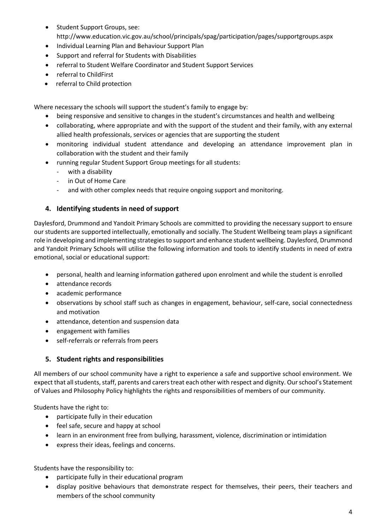- Student Support Groups, see: http://www.education.vic.gov.au/school/principals/spag/participation/pages/supportgroups.aspx
- Individual Learning Plan and Behaviour Support Plan
- Support and referral for Students with Disabilities
- referral to Student Welfare Coordinator and Student Support Services
- referral to ChildFirst
- referral to Child protection

Where necessary the schools will support the student's family to engage by:

- being responsive and sensitive to changes in the student's circumstances and health and wellbeing
- collaborating, where appropriate and with the support of the student and their family, with any external allied health professionals, services or agencies that are supporting the student
- monitoring individual student attendance and developing an attendance improvement plan in collaboration with the student and their family
- running regular Student Support Group meetings for all students:
	- with a disability
	- in Out of Home Care
	- and with other complex needs that require ongoing support and monitoring.

## **4. Identifying students in need of support**

Daylesford, Drummond and Yandoit Primary Schools are committed to providing the necessary support to ensure our students are supported intellectually, emotionally and socially. The Student Wellbeing team plays a significant role in developing and implementing strategies to support and enhance student wellbeing. Daylesford, Drummond and Yandoit Primary Schools will utilise the following information and tools to identify students in need of extra emotional, social or educational support:

- personal, health and learning information gathered upon enrolment and while the student is enrolled
- attendance records
- academic performance
- observations by school staff such as changes in engagement, behaviour, self-care, social connectedness and motivation
- attendance, detention and suspension data
- engagement with families
- self-referrals or referrals from peers

## **5. Student rights and responsibilities**

All members of our school community have a right to experience a safe and supportive school environment. We expect that all students, staff, parents and carers treat each other with respect and dignity. Our school's Statement of Values and Philosophy Policy highlights the rights and responsibilities of members of our community.

Students have the right to:

- participate fully in their education
- feel safe, secure and happy at school
- learn in an environment free from bullying, harassment, violence, discrimination or intimidation
- express their ideas, feelings and concerns.

Students have the responsibility to:

- participate fully in their educational program
- display positive behaviours that demonstrate respect for themselves, their peers, their teachers and members of the school community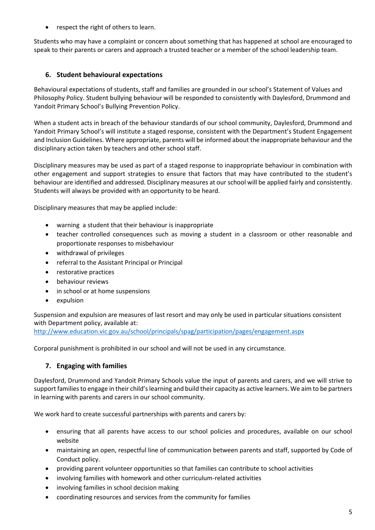respect the right of others to learn.

Students who may have a complaint or concern about something that has happened at school are encouraged to speak to their parents or carers and approach a trusted teacher or a member of the school leadership team.

## **6. Student behavioural expectations**

Behavioural expectations of students, staff and families are grounded in our school's Statement of Values and Philosophy Policy. Student bullying behaviour will be responded to consistently with Daylesford, Drummond and Yandoit Primary School's Bullying Prevention Policy.

When a student acts in breach of the behaviour standards of our school community, Daylesford, Drummond and Yandoit Primary School's will institute a staged response, consistent with the Department's Student Engagement and Inclusion Guidelines. Where appropriate, parents will be informed about the inappropriate behaviour and the disciplinary action taken by teachers and other school staff.

Disciplinary measures may be used as part of a staged response to inappropriate behaviour in combination with other engagement and support strategies to ensure that factors that may have contributed to the student's behaviour are identified and addressed. Disciplinary measures at our school will be applied fairly and consistently. Students will always be provided with an opportunity to be heard.

Disciplinary measures that may be applied include:

- warning a student that their behaviour is inappropriate
- teacher controlled consequences such as moving a student in a classroom or other reasonable and proportionate responses to misbehaviour
- withdrawal of privileges
- referral to the Assistant Principal or Principal
- restorative practices
- behaviour reviews
- in school or at home suspensions
- expulsion

Suspension and expulsion are measures of last resort and may only be used in particular situations consistent with Department policy, available at:

<http://www.education.vic.gov.au/school/principals/spag/participation/pages/engagement.aspx>

Corporal punishment is prohibited in our school and will not be used in any circumstance.

## **7. Engaging with families**

Daylesford, Drummond and Yandoit Primary Schools value the input of parents and carers, and we will strive to support families to engage in their child's learning and build their capacity as active learners. We aim to be partners in learning with parents and carers in our school community.

We work hard to create successful partnerships with parents and carers by:

- ensuring that all parents have access to our school policies and procedures, available on our school website
- maintaining an open, respectful line of communication between parents and staff, supported by Code of Conduct policy.
- providing parent volunteer opportunities so that families can contribute to school activities
- involving families with homework and other curriculum-related activities
- involving families in school decision making
- coordinating resources and services from the community for families